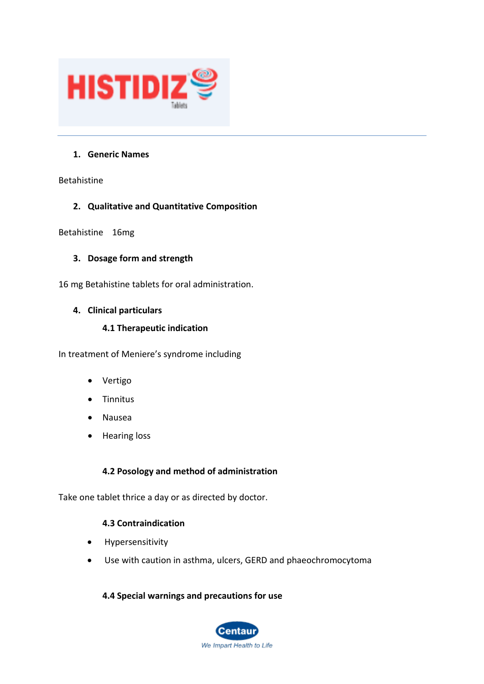

### **1. Generic Names**

Betahistine

### **2. Qualitative and Quantitative Composition**

Betahistine 16mg

### **3. Dosage form and strength**

16 mg Betahistine tablets for oral administration.

### **4. Clinical particulars**

### **4.1 Therapeutic indication**

In treatment of Meniere's syndrome including

- Vertigo
- **Tinnitus**
- Nausea
- Hearing loss

# **4.2 Posology and method of administration**

Take one tablet thrice a day or as directed by doctor.

### **4.3 Contraindication**

- Hypersensitivity
- Use with caution in asthma, ulcers, GERD and phaeochromocytoma

### **4.4 Special warnings and precautions for use**

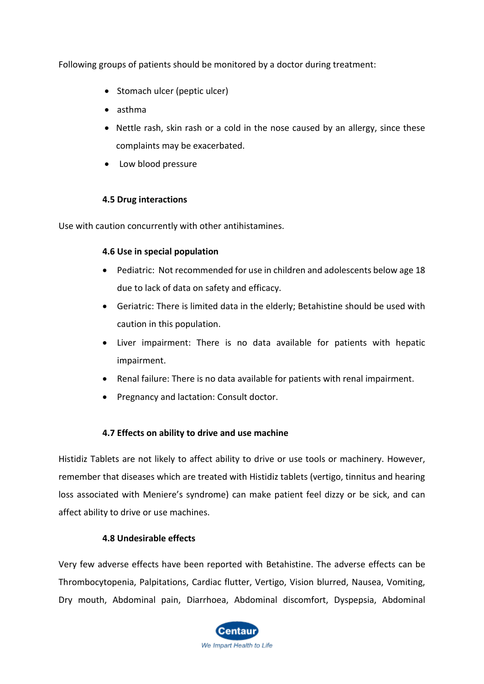Following groups of patients should be monitored by a doctor during treatment:

- Stomach ulcer (peptic ulcer)
- asthma
- Nettle rash, skin rash or a cold in the nose caused by an allergy, since these complaints may be exacerbated.
- Low blood pressure

### **4.5 Drug interactions**

Use with caution concurrently with other antihistamines.

### **4.6 Use in special population**

- Pediatric: Not recommended for use in children and adolescents below age 18 due to lack of data on safety and efficacy.
- Geriatric: There is limited data in the elderly; Betahistine should be used with caution in this population.
- Liver impairment: There is no data available for patients with hepatic impairment.
- Renal failure: There is no data available for patients with renal impairment.
- Pregnancy and lactation: Consult doctor.

# **4.7 Effects on ability to drive and use machine**

Histidiz Tablets are not likely to affect ability to drive or use tools or machinery. However, remember that diseases which are treated with Histidiz tablets (vertigo, tinnitus and hearing loss associated with Meniere's syndrome) can make patient feel dizzy or be sick, and can affect ability to drive or use machines.

# **4.8 Undesirable effects**

Very few adverse effects have been reported with Betahistine. The adverse effects can be Thrombocytopenia, Palpitations, Cardiac flutter, Vertigo, Vision blurred, Nausea, Vomiting, Dry mouth, Abdominal pain, Diarrhoea, Abdominal discomfort, Dyspepsia, Abdominal

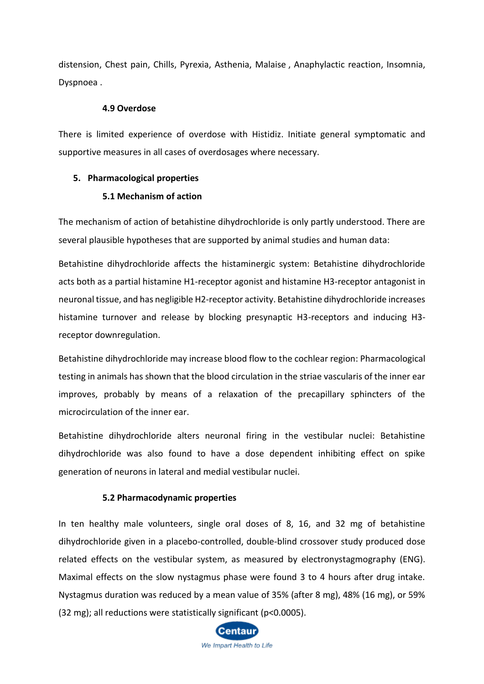distension, Chest pain, Chills, Pyrexia, Asthenia, Malaise , Anaphylactic reaction, Insomnia, Dyspnoea .

#### **4.9 Overdose**

There is limited experience of overdose with Histidiz. Initiate general symptomatic and supportive measures in all cases of overdosages where necessary.

### **5. Pharmacological properties**

### **5.1 Mechanism of action**

The mechanism of action of betahistine dihydrochloride is only partly understood. There are several plausible hypotheses that are supported by animal studies and human data:

Betahistine dihydrochloride affects the histaminergic system: Betahistine dihydrochloride acts both as a partial histamine H1-receptor agonist and histamine H3-receptor antagonist in neuronal tissue, and has negligible H2-receptor activity. Betahistine dihydrochloride increases histamine turnover and release by blocking presynaptic H3-receptors and inducing H3 receptor downregulation.

Betahistine dihydrochloride may increase blood flow to the cochlear region: Pharmacological testing in animals has shown that the blood circulation in the striae vascularis of the inner ear improves, probably by means of a relaxation of the precapillary sphincters of the microcirculation of the inner ear.

Betahistine dihydrochloride alters neuronal firing in the vestibular nuclei: Betahistine dihydrochloride was also found to have a dose dependent inhibiting effect on spike generation of neurons in lateral and medial vestibular nuclei.

### **5.2 Pharmacodynamic properties**

In ten healthy male volunteers, single oral doses of 8, 16, and 32 mg of betahistine dihydrochloride given in a placebo-controlled, double-blind crossover study produced dose related effects on the vestibular system, as measured by electronystagmography (ENG). Maximal effects on the slow nystagmus phase were found 3 to 4 hours after drug intake. Nystagmus duration was reduced by a mean value of 35% (after 8 mg), 48% (16 mg), or 59% (32 mg); all reductions were statistically significant (p<0.0005).

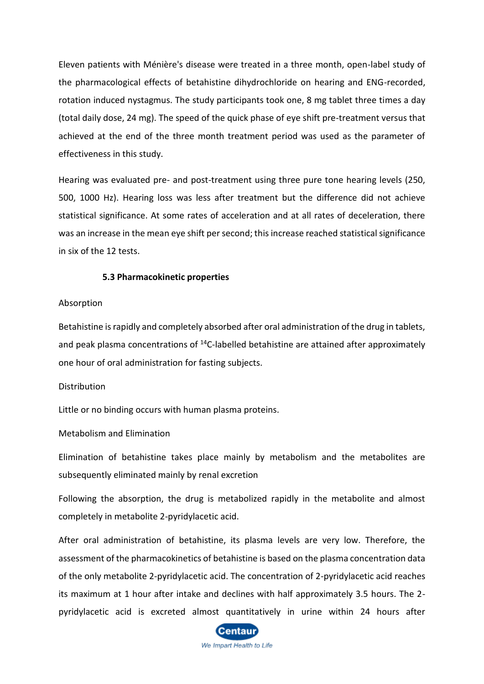Eleven patients with Ménière's disease were treated in a three month, open-label study of the pharmacological effects of betahistine dihydrochloride on hearing and ENG-recorded, rotation induced nystagmus. The study participants took one, 8 mg tablet three times a day (total daily dose, 24 mg). The speed of the quick phase of eye shift pre-treatment versus that achieved at the end of the three month treatment period was used as the parameter of effectiveness in this study.

Hearing was evaluated pre- and post-treatment using three pure tone hearing levels (250, 500, 1000 Hz). Hearing loss was less after treatment but the difference did not achieve statistical significance. At some rates of acceleration and at all rates of deceleration, there was an increase in the mean eye shift per second; this increase reached statistical significance in six of the 12 tests.

#### **5.3 Pharmacokinetic properties**

#### Absorption

Betahistine is rapidly and completely absorbed after oral administration of the drug in tablets, and peak plasma concentrations of  $14C$ -labelled betahistine are attained after approximately one hour of oral administration for fasting subjects.

#### Distribution

Little or no binding occurs with human plasma proteins.

#### Metabolism and Elimination

Elimination of betahistine takes place mainly by metabolism and the metabolites are subsequently eliminated mainly by renal excretion

Following the absorption, the drug is metabolized rapidly in the metabolite and almost completely in metabolite 2-pyridylacetic acid.

After oral administration of betahistine, its plasma levels are very low. Therefore, the assessment of the pharmacokinetics of betahistine is based on the plasma concentration data of the only metabolite 2-pyridylacetic acid. The concentration of 2-pyridylacetic acid reaches its maximum at 1 hour after intake and declines with half approximately 3.5 hours. The 2 pyridylacetic acid is excreted almost quantitatively in urine within 24 hours after

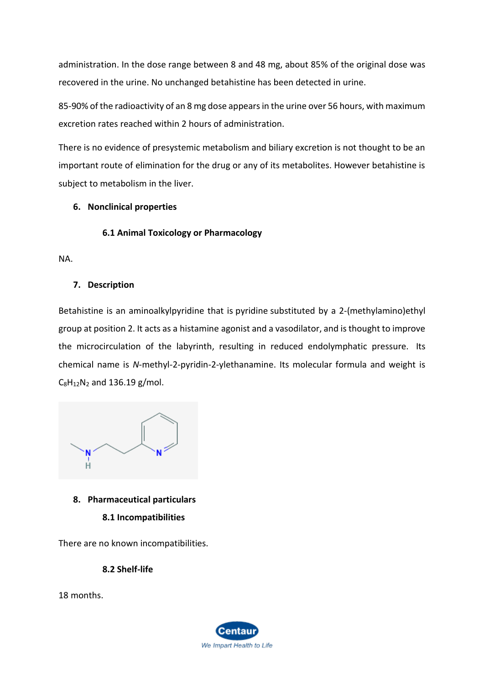administration. In the dose range between 8 and 48 mg, about 85% of the original dose was recovered in the urine. No unchanged betahistine has been detected in urine.

85-90% of the radioactivity of an 8 mg dose appears in the urine over 56 hours, with maximum excretion rates reached within 2 hours of administration.

There is no evidence of presystemic metabolism and biliary excretion is not thought to be an important route of elimination for the drug or any of its metabolites. However betahistine is subject to metabolism in the liver.

# **6. Nonclinical properties**

# **6.1 Animal Toxicology or Pharmacology**

NA.

# **7. Description**

Betahistine is an aminoalkylpyridine that is [pyridine](https://pubchem.ncbi.nlm.nih.gov/compound/pyridine) substituted by a 2-(methylamino)ethyl group at position 2. It acts as a [histamine](https://pubchem.ncbi.nlm.nih.gov/compound/histamine) agonist and a vasodilator, and is thought to improve the microcirculation of the labyrinth, resulting in reduced endolymphatic pressure. Its chemical name is *N*-methyl-2-pyridin-2-ylethanamine. Its molecular formula and weight is  $C_8H_{12}N_2$  $C_8H_{12}N_2$  $C_8H_{12}N_2$  and 136.19 g/mol.



# **8. Pharmaceutical particulars**

**8.1 Incompatibilities**

There are no known incompatibilities.

**8.2 Shelf-life**

18 months.

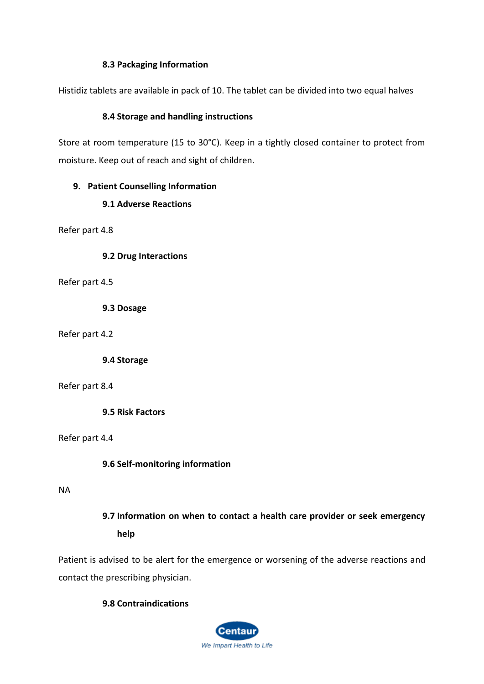### **8.3 Packaging Information**

Histidiz tablets are available in pack of 10. The tablet can be divided into two equal halves

### **8.4 Storage and handling instructions**

Store at room temperature (15 to 30°C). Keep in a tightly closed container to protect from moisture. Keep out of reach and sight of children.

### **9. Patient Counselling Information**

# **9.1 Adverse Reactions**

Refer part 4.8

**9.2 Drug Interactions**

Refer part 4.5

**9.3 Dosage**

Refer part 4.2

**9.4 Storage**

Refer part 8.4

**9.5 Risk Factors**

Refer part 4.4

# **9.6 Self-monitoring information**

### NA

# **9.7 Information on when to contact a health care provider or seek emergency help**

Patient is advised to be alert for the emergence or worsening of the adverse reactions and contact the prescribing physician.

# **9.8 Contraindications**